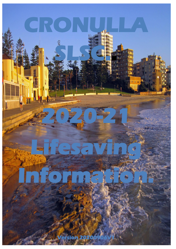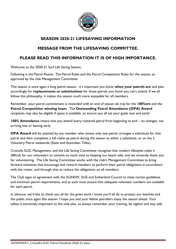

#### **SEASON 2020-21 LIFESAVING INFORMATION**

## **MESSAGE FROM THE LIFESAVING COMMITTEE.**

## **PLEASE READ THIS INFORMATION IT IS OF HIGH IMPORTANCE.**

Welcome to the 2020-21 Surf Life Saving Season.

Following is the Patrol Roster, The Patrol Rules and the Patrol Competition Rules for the season, as approved by the club Management Committee.

This season is once again a long patrol season. it's important you know **when your patrols are** and plan accordingly for **replacements or substitutions** for those patrols you know you can't attend. If we all follow this philosophy, it makes the season much more enjoyable for all members.

Remember, your patrol commitment is rewarded with an end of season ski trip for the **100%ers** and the **Patrol Competition winning team**. The **Outstanding Patrol Attendance (OPA) Award** recipients may also be eligible if space is available, so ensure you all set your goals nice and early!

**100% Attendance** means that you attend every rostered patrol from beginning to end – no changes, not arriving late or leaving early.

**OPA Award** will be attained by any member who misses only one patrol, arranges a substitute for that patrol and then completes a full make-up patrol during the season as either a substitute, or on the 2 Voluntary Patrol weekends (State and Australian Titles).

Cronulla SLSC Management, and the Life Saving Committee recognise that modern lifestyles make it difficult for our volunteers to commit so much time to keeping our beach safe, and we sincerely thank you for volunteering. The Life Saving Committee works with the club's Management Committee to bring forward initiatives that encourage and reward members to perform their patrol obligations in accordance with the roster, and through that to reduce the obligations on all members.

The Club signs an agreement with the SLSNSW, SLSS and Sutherland Council to meet certain guidelines and minimum patrol requirements, and as such must ensure that adequate volunteer numbers are available for each patrol.

In advance, we'd like to thank you all for the great work I know you'll all do to protect our beaches and the public once again this season. I hope you and your fellow patrollers enjoy the season ahead. Your safety is extremely important to the club also, so always remember your training, be vigilant and stay safe.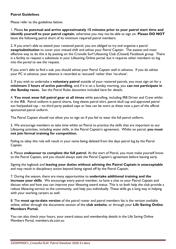#### **Patrol Guidelines**

Please refer to the guidelines below;

1. Please **be punctual and arrive approximately 15 minutes prior to your patrol start time and identify yourself to your patrol captain**, otherwise you may not be able to sign on. **Please DO NOT** leave the following patrol short of its minimum required patrol members.

2. If you aren't able to attend your rostered patrol, you are obliged to try and organise a patrol **swap/substitution** to cover your missed shift and advise your Patrol Captain. The easiest and most effective way to do this is by posting on the Cronulla Surf Lifesaving Club (Closed) Facebook group. There is a facility to request a substitute in your Lifesaving Online portal, but it requires other members to log into the portal to see the request.

If you aren't able to find a sub, you should advise your Patrol Captain well in advance. If you do advise your PC in advance, your absence is recorded as 'excused' rather than 'no-show'.

3. If you wish to undertake a **voluntary patrol** outside of your rostered patrols, you must sign on for a **minimum 3 hours of active patrolling**, and if it is on a Sunday morning, you **can not participate in the Sunday races.** See the Patrol Rules document included here for details.

4. **You must wear full patrol gear at all times** while patrolling, including IRB Driver and Crew whilst in the IRB. Patrol uniform is patrol shorts, long sleeve patrol shirt, patrol skull cap and approved patrol sun hat/peaked cap – no third party peaked caps or hats can be worn as these now a part of the official sponsored patrol uniform.

The Patrol Captain should not allow you to sign on if you fail to wear the full patrol uniform.

5. We encourage members to take time whilst on Patrol to practice the skills that are important to our Lifesaving activities, including water skills, in the Patrol Captain's agreement. Whilst on patrol, **you must not join formal training for competition.**

Failing to obey this rule will result in your name being deleted from the days patrol log by the Patrol Captain.

6. Please **endeavour to complete the full patrol**. At the start of Patrol, you must make yourself know to the Patrol Captain, and you should always seek the Patrol Captain's agreement before leaving early.

Signing the logbook and **leaving your duties without advising the Patrol Captain is unacceptable** and may result in disciplinary action beyond being signed off by the Patrol Captain.

7. During the season, there are many opportunities to **undertake additional training and the increase your skills**. We encourage every patrol member, to have a chat to your Patrol Captain and discuss what and how you can improve your lifesaving award status. This is to both help the club provide a robust lifesaving service to the community, and help you individually. These skills go a long way in helping with your working careers as well.

8. The **most up-to-date version** of the patrol roster and patrol members list is the version available online, either through the documents section of the **club website**, or through your **Life Saving Online Members Portal.**

You can also check your hours, your award status and membership details in the Life Saving Online Members Portal, members.sls.com.au